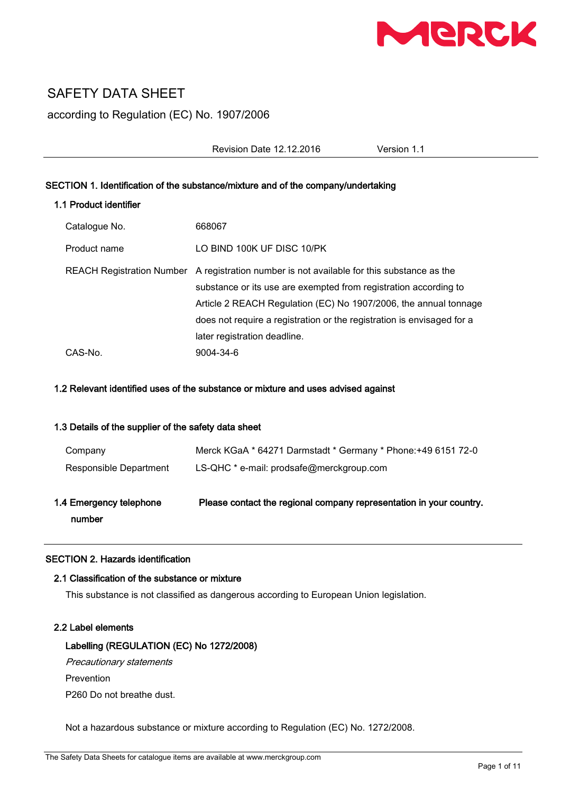

## SAFETY DATA SHEET

according to Regulation (EC) No. 1907/2006

Revision Date 12.12.2016 Version 1.1

## SECTION 1. Identification of the substance/mixture and of the company/undertaking

## 1.1 Product identifier

| Catalogue No. | 668067                                                                                                                                                                                                                                                                                                       |
|---------------|--------------------------------------------------------------------------------------------------------------------------------------------------------------------------------------------------------------------------------------------------------------------------------------------------------------|
| Product name  | LO BIND 100K UF DISC 10/PK                                                                                                                                                                                                                                                                                   |
|               | REACH Registration Number A registration number is not available for this substance as the<br>substance or its use are exempted from registration according to<br>Article 2 REACH Regulation (EC) No 1907/2006, the annual tonnage<br>does not require a registration or the registration is envisaged for a |
| CAS-No.       | later registration deadline.<br>9004-34-6                                                                                                                                                                                                                                                                    |

#### 1.2 Relevant identified uses of the substance or mixture and uses advised against

## 1.3 Details of the supplier of the safety data sheet

| 1.4 Emergency telephone<br>number | Please contact the regional company representation in your country. |
|-----------------------------------|---------------------------------------------------------------------|
| Responsible Department            | LS-QHC * e-mail: prodsafe@merckgroup.com                            |
| Company                           | Merck KGaA * 64271 Darmstadt * Germany * Phone: +49 6151 72-0       |

## SECTION 2. Hazards identification

## 2.1 Classification of the substance or mixture

This substance is not classified as dangerous according to European Union legislation.

#### 2.2 Label elements

## Labelling (REGULATION (EC) No 1272/2008)

Precautionary statements

Prevention

P260 Do not breathe dust.

Not a hazardous substance or mixture according to Regulation (EC) No. 1272/2008.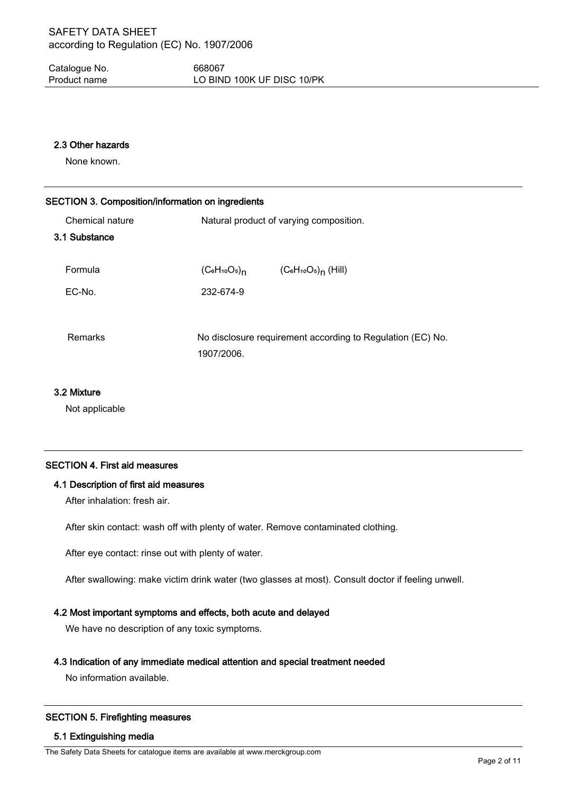Catalogue No. 668067 Product name LO BIND 100K UF DISC 10/PK

#### 2.3 Other hazards

None known.

# SECTION 3. Composition/information on ingredients Chemical nature **Natural product of varying composition**. 3.1 Substance Formula  $(C_6H_{10}O_5)_n$ (C<sub>6</sub>H<sub>10</sub>O<sub>5)</sup>n</sub> (Hill) EC-No. 232-674-9 Remarks No disclosure requirement according to Regulation (EC) No. 1907/2006.

## 3.2 Mixture

Not applicable

## SECTION 4. First aid measures

## 4.1 Description of first aid measures

After inhalation: fresh air.

After skin contact: wash off with plenty of water. Remove contaminated clothing.

After eye contact: rinse out with plenty of water.

After swallowing: make victim drink water (two glasses at most). Consult doctor if feeling unwell.

## 4.2 Most important symptoms and effects, both acute and delayed

We have no description of any toxic symptoms.

## 4.3 Indication of any immediate medical attention and special treatment needed

No information available.

## SECTION 5. Firefighting measures

## 5.1 Extinguishing media

The Safety Data Sheets for catalogue items are available at www.merckgroup.com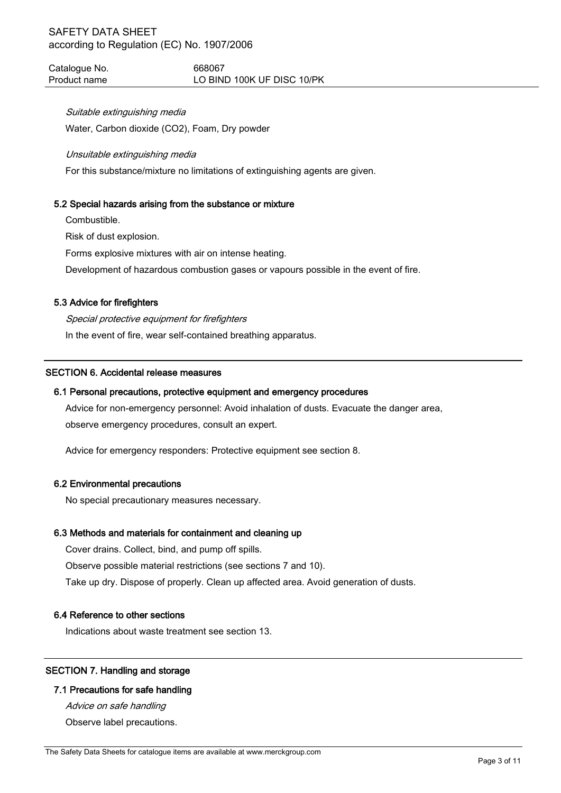Catalogue No. 668067 Product name LO BIND 100K UF DISC 10/PK

#### Suitable extinguishing media

Water, Carbon dioxide (CO2), Foam, Dry powder

#### Unsuitable extinguishing media

For this substance/mixture no limitations of extinguishing agents are given.

## 5.2 Special hazards arising from the substance or mixture

Combustible.

Risk of dust explosion.

Forms explosive mixtures with air on intense heating.

Development of hazardous combustion gases or vapours possible in the event of fire.

## 5.3 Advice for firefighters

Special protective equipment for firefighters In the event of fire, wear self-contained breathing apparatus.

#### SECTION 6. Accidental release measures

#### 6.1 Personal precautions, protective equipment and emergency procedures

Advice for non-emergency personnel: Avoid inhalation of dusts. Evacuate the danger area, observe emergency procedures, consult an expert.

Advice for emergency responders: Protective equipment see section 8.

#### 6.2 Environmental precautions

No special precautionary measures necessary.

## 6.3 Methods and materials for containment and cleaning up

Cover drains. Collect, bind, and pump off spills. Observe possible material restrictions (see sections 7 and 10). Take up dry. Dispose of properly. Clean up affected area. Avoid generation of dusts.

#### 6.4 Reference to other sections

Indications about waste treatment see section 13.

## SECTION 7. Handling and storage

## 7.1 Precautions for safe handling

Advice on safe handling Observe label precautions.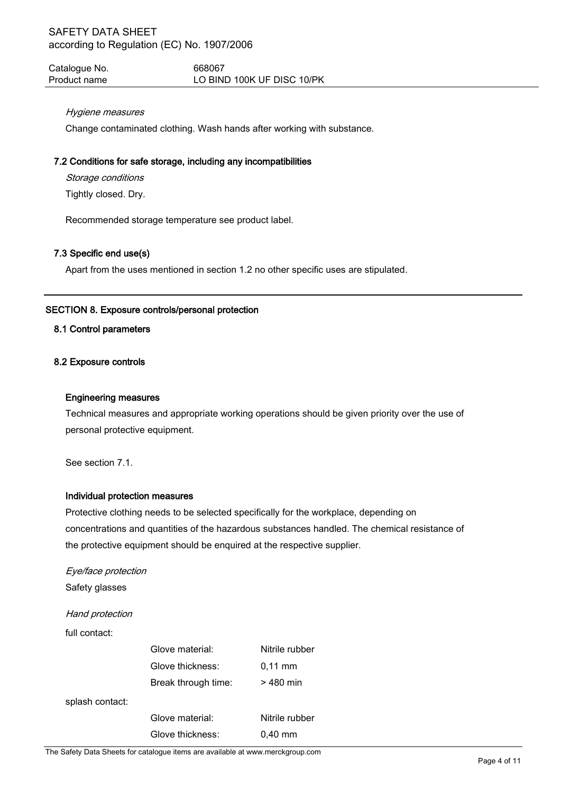Catalogue No. 668067 Product name LO BIND 100K UF DISC 10/PK

## Hygiene measures

Change contaminated clothing. Wash hands after working with substance.

## 7.2 Conditions for safe storage, including any incompatibilities

Storage conditions

Tightly closed. Dry.

Recommended storage temperature see product label.

## 7.3 Specific end use(s)

Apart from the uses mentioned in section 1.2 no other specific uses are stipulated.

## SECTION 8. Exposure controls/personal protection

## 8.1 Control parameters

#### 8.2 Exposure controls

#### Engineering measures

Technical measures and appropriate working operations should be given priority over the use of personal protective equipment.

See section 7.1.

## Individual protection measures

Protective clothing needs to be selected specifically for the workplace, depending on concentrations and quantities of the hazardous substances handled. The chemical resistance of the protective equipment should be enquired at the respective supplier.

## Eye/face protection Safety glasses

Hand protection

full contact:

|                 | Glove material:     | Nitrile rubber      |
|-----------------|---------------------|---------------------|
|                 | Glove thickness:    | $0.11 \, \text{mm}$ |
|                 | Break through time: | > 480 min           |
| splash contact: |                     |                     |
|                 | Glove material:     | Nitrile rubber      |
|                 | Glove thickness:    | $0.40$ mm           |

The Safety Data Sheets for catalogue items are available at www.merckgroup.com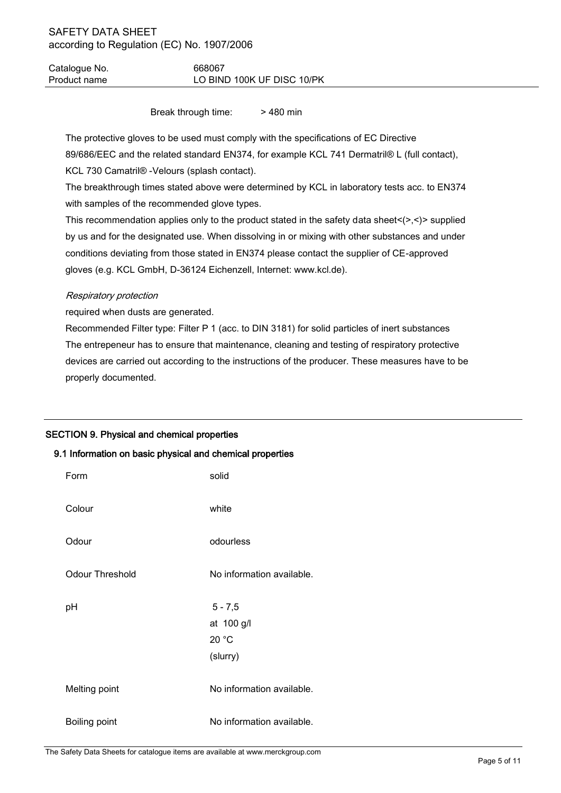Catalogue No. 668067 Product name LO BIND 100K UF DISC 10/PK

Break through time: > 480 min

The protective gloves to be used must comply with the specifications of EC Directive 89/686/EEC and the related standard EN374, for example KCL 741 Dermatril® L (full contact), KCL 730 Camatril® -Velours (splash contact).

The breakthrough times stated above were determined by KCL in laboratory tests acc. to EN374 with samples of the recommended glove types.

This recommendation applies only to the product stated in the safety data sheet $\langle \rangle$ , $\langle \rangle$  supplied by us and for the designated use. When dissolving in or mixing with other substances and under conditions deviating from those stated in EN374 please contact the supplier of CE-approved gloves (e.g. KCL GmbH, D-36124 Eichenzell, Internet: www.kcl.de).

## Respiratory protection

required when dusts are generated.

Recommended Filter type: Filter P 1 (acc. to DIN 3181) for solid particles of inert substances The entrepeneur has to ensure that maintenance, cleaning and testing of respiratory protective devices are carried out according to the instructions of the producer. These measures have to be properly documented.

## SECTION 9. Physical and chemical properties

## 9.1 Information on basic physical and chemical properties

| Form                   | solid                                        |
|------------------------|----------------------------------------------|
| Colour                 | white                                        |
| Odour                  | odourless                                    |
| <b>Odour Threshold</b> | No information available.                    |
|                        |                                              |
| рH                     | $5 - 7,5$<br>at 100 g/l<br>20 °C<br>(slurry) |
| Melting point          | No information available.                    |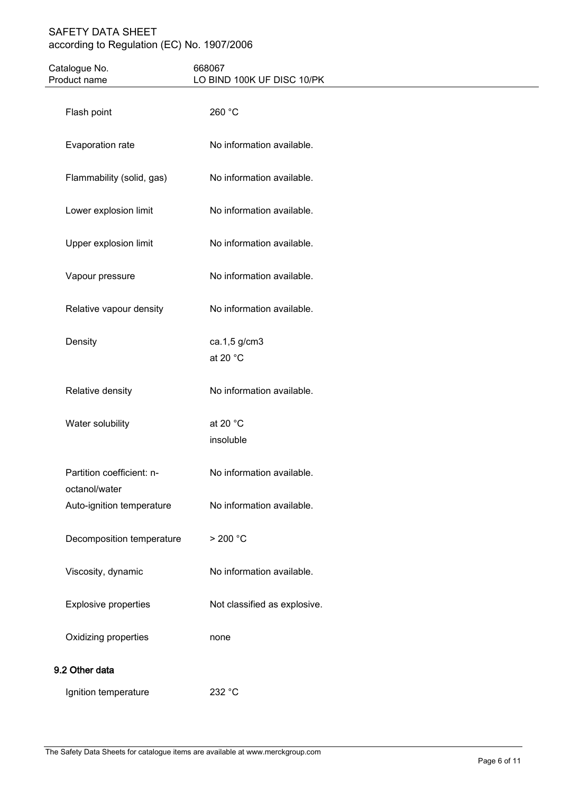| Catalogue No.<br>Product name              | 668067<br>LO BIND 100K UF DISC 10/PK |  |
|--------------------------------------------|--------------------------------------|--|
| Flash point                                | 260 °C                               |  |
| Evaporation rate                           | No information available.            |  |
| Flammability (solid, gas)                  | No information available.            |  |
| Lower explosion limit                      | No information available.            |  |
| Upper explosion limit                      | No information available.            |  |
| Vapour pressure                            | No information available.            |  |
| Relative vapour density                    | No information available.            |  |
| Density                                    | ca.1,5 g/cm3<br>at 20 °C             |  |
| Relative density                           | No information available.            |  |
| Water solubility                           | at 20 °C<br>insoluble                |  |
| Partition coefficient: n-<br>octanol/water | No information available.            |  |
| Auto-ignition temperature                  | No information available.            |  |
| Decomposition temperature                  | > 200 °C                             |  |
| Viscosity, dynamic                         | No information available.            |  |
| <b>Explosive properties</b>                | Not classified as explosive.         |  |
| Oxidizing properties                       | none                                 |  |
| 9.2 Other data                             |                                      |  |
| Ignition temperature                       | 232 °C                               |  |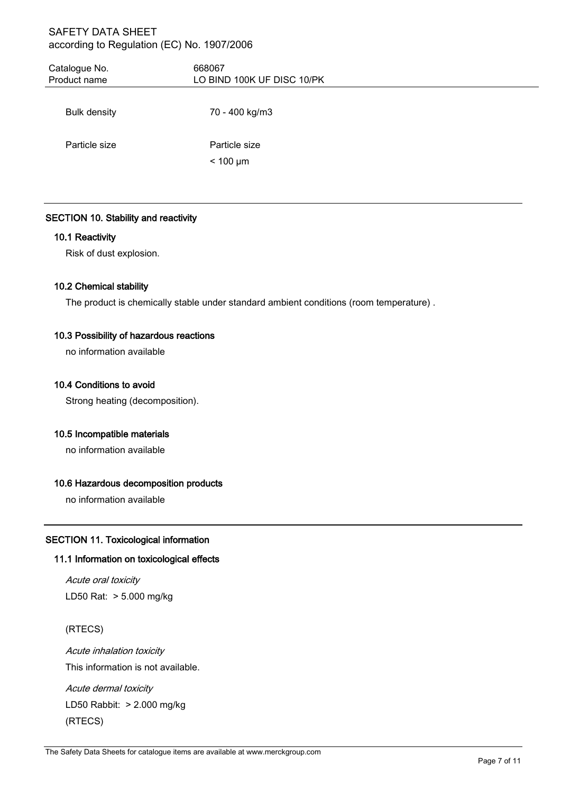| Catalogue No.<br>Product name | 668067<br>LO BIND 100K UF DISC 10/PK |
|-------------------------------|--------------------------------------|
| <b>Bulk density</b>           | 70 - 400 kg/m3                       |
| Particle size                 | Particle size                        |
|                               | $< 100 \mu m$                        |

## SECTION 10. Stability and reactivity

## 10.1 Reactivity

Risk of dust explosion.

## 10.2 Chemical stability

The product is chemically stable under standard ambient conditions (room temperature) .

## 10.3 Possibility of hazardous reactions

no information available

## 10.4 Conditions to avoid

Strong heating (decomposition).

## 10.5 Incompatible materials

no information available

## 10.6 Hazardous decomposition products

no information available

## SECTION 11. Toxicological information

## 11.1 Information on toxicological effects

Acute oral toxicity LD50 Rat: > 5.000 mg/kg

## (RTECS)

Acute inhalation toxicity This information is not available.

Acute dermal toxicity LD50 Rabbit: > 2.000 mg/kg (RTECS)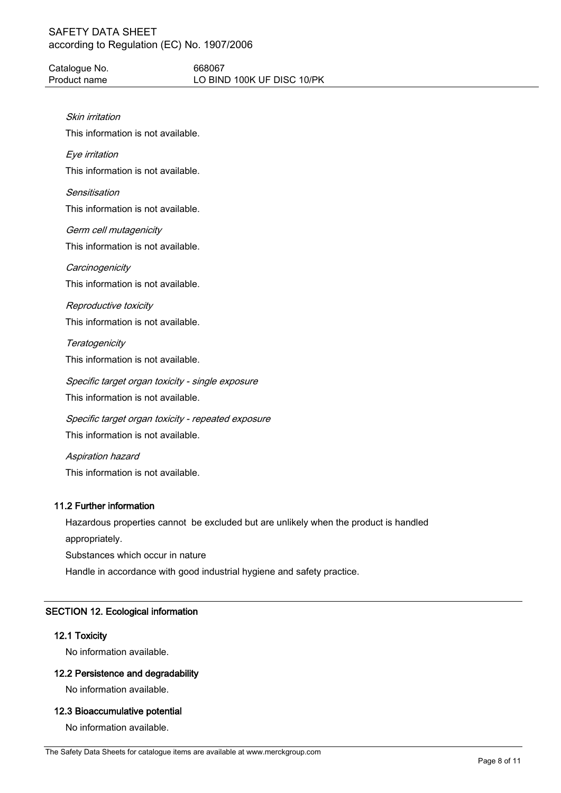Catalogue No. 668067 Product name LO BIND 100K UF DISC 10/PK

Skin irritation

This information is not available.

Eye irritation

This information is not available.

**Sensitisation** 

This information is not available.

Germ cell mutagenicity This information is not available.

**Carcinogenicity** This information is not available.

Reproductive toxicity

This information is not available.

**Teratogenicity** This information is not available.

Specific target organ toxicity - single exposure This information is not available.

Specific target organ toxicity - repeated exposure This information is not available.

Aspiration hazard This information is not available.

## 11.2 Further information

Hazardous properties cannot be excluded but are unlikely when the product is handled appropriately.

Substances which occur in nature

Handle in accordance with good industrial hygiene and safety practice.

## SECTION 12. Ecological information

## 12.1 Toxicity

No information available.

## 12.2 Persistence and degradability

No information available.

## 12.3 Bioaccumulative potential

No information available.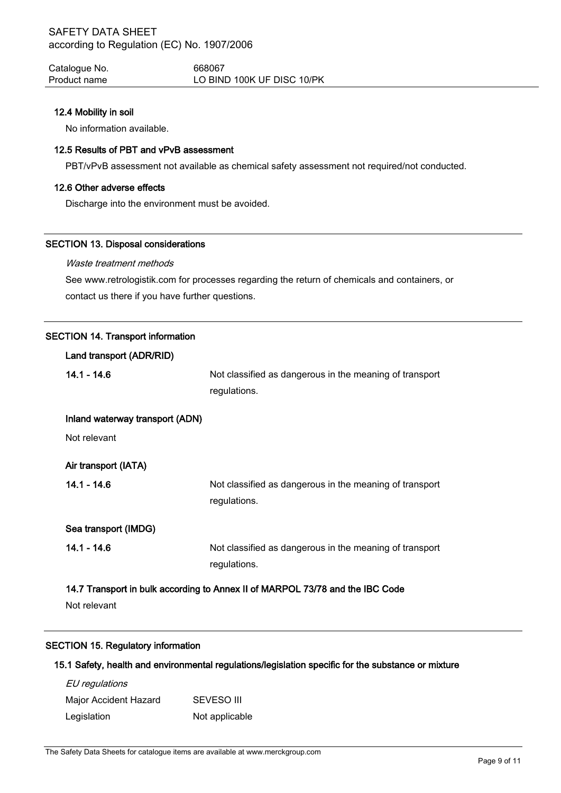Catalogue No. 668067 Product name LO BIND 100K UF DISC 10/PK

#### 12.4 Mobility in soil

No information available.

## 12.5 Results of PBT and vPvB assessment

PBT/vPvB assessment not available as chemical safety assessment not required/not conducted.

#### 12.6 Other adverse effects

Discharge into the environment must be avoided.

#### SECTION 13. Disposal considerations

## Waste treatment methods

See www.retrologistik.com for processes regarding the return of chemicals and containers, or contact us there if you have further questions.

## SECTION 14. Transport information

| Land transport (ADR/RID)                                                      |                                                         |  |
|-------------------------------------------------------------------------------|---------------------------------------------------------|--|
| $14.1 - 14.6$                                                                 | Not classified as dangerous in the meaning of transport |  |
|                                                                               | regulations.                                            |  |
| Inland waterway transport (ADN)                                               |                                                         |  |
| Not relevant                                                                  |                                                         |  |
|                                                                               |                                                         |  |
| Air transport (IATA)                                                          |                                                         |  |
| $14.1 - 14.6$                                                                 | Not classified as dangerous in the meaning of transport |  |
|                                                                               | regulations.                                            |  |
| Sea transport (IMDG)                                                          |                                                         |  |
|                                                                               |                                                         |  |
| $14.1 - 14.6$                                                                 | Not classified as dangerous in the meaning of transport |  |
|                                                                               | regulations.                                            |  |
| 14.7 Transport in bulk according to Annex II of MARPOL 73/78 and the IBC Code |                                                         |  |
| Not relevant                                                                  |                                                         |  |

## SECTION 15. Regulatory information

## 15.1 Safety, health and environmental regulations/legislation specific for the substance or mixture

| EU regulations        |                |
|-----------------------|----------------|
| Major Accident Hazard | SEVESO III     |
| Legislation           | Not applicable |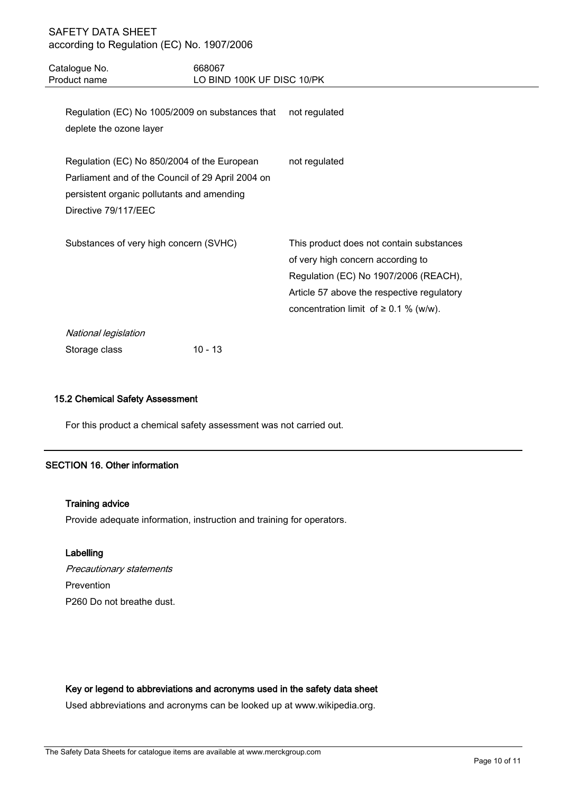| Catalogue No.<br>Product name                                                                                     | 668067                                                        | LO BIND 100K UF DISC 10/PK                                                                                                                                                                                         |  |
|-------------------------------------------------------------------------------------------------------------------|---------------------------------------------------------------|--------------------------------------------------------------------------------------------------------------------------------------------------------------------------------------------------------------------|--|
| deplete the ozone layer                                                                                           | Regulation (EC) No 1005/2009 on substances that not regulated |                                                                                                                                                                                                                    |  |
| Regulation (EC) No 850/2004 of the European<br>persistent organic pollutants and amending<br>Directive 79/117/EEC | Parliament and of the Council of 29 April 2004 on             | not regulated                                                                                                                                                                                                      |  |
| Substances of very high concern (SVHC)                                                                            |                                                               | This product does not contain substances<br>of very high concern according to<br>Regulation (EC) No 1907/2006 (REACH),<br>Article 57 above the respective regulatory<br>concentration limit of $\geq$ 0.1 % (w/w). |  |
| National legislation                                                                                              |                                                               |                                                                                                                                                                                                                    |  |
| Storage class                                                                                                     | $10 - 13$                                                     |                                                                                                                                                                                                                    |  |

## 15.2 Chemical Safety Assessment

For this product a chemical safety assessment was not carried out.

## SECTION 16. Other information

#### Training advice

Provide adequate information, instruction and training for operators.

#### Labelling

Precautionary statements Prevention P260 Do not breathe dust.

#### Key or legend to abbreviations and acronyms used in the safety data sheet

Used abbreviations and acronyms can be looked up at www.wikipedia.org.